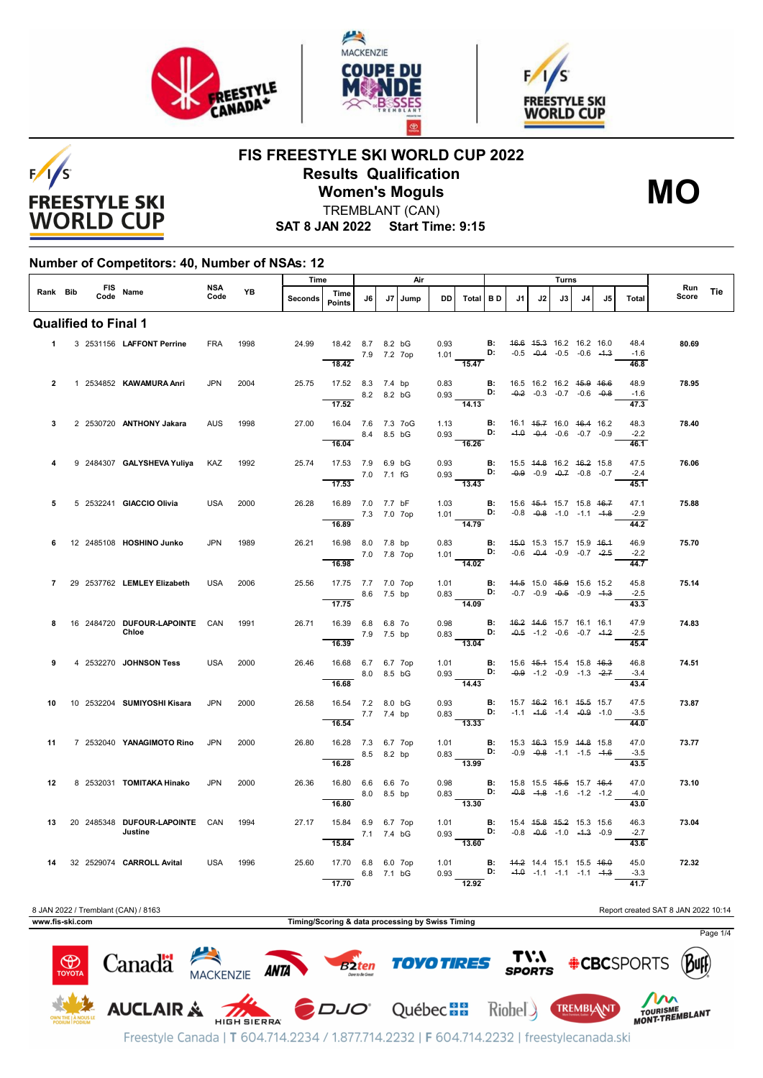





**MO**

**FIS FREESTYLE SKI WORLD CUP 2022 Results Qualification**



**Women's Moguls** TREMBLANT (CAN)

**SAT 8 JAN 2022 Start Time: 9:15**

## **Number of Competitors: 40, Number of NSAs: 12**

|                |  |      |                                           |             |           | Time           |                                                  |            |    | Air  |           |                                                                                                                                                 | Turns                              |    |                                                                |    |     |     | Run                                                                                                  |                                     |     |
|----------------|--|------|-------------------------------------------|-------------|-----------|----------------|--------------------------------------------------|------------|----|------|-----------|-------------------------------------------------------------------------------------------------------------------------------------------------|------------------------------------|----|----------------------------------------------------------------|----|-----|-----|------------------------------------------------------------------------------------------------------|-------------------------------------|-----|
| Rank Bib       |  | Code | FIS Name                                  | NSA<br>Code | <b>YB</b> | <b>Seconds</b> | Time<br><b>Points</b>                            | 16.        | J7 | Jump | <b>DD</b> | Total BD                                                                                                                                        |                                    | J1 | J2                                                             | J3 | 14. | .15 | <b>Total</b>                                                                                         | Score                               | Tie |
|                |  |      | <b>Qualified to Final 1</b>               |             |           |                |                                                  |            |    |      |           |                                                                                                                                                 |                                    |    |                                                                |    |     |     |                                                                                                      |                                     |     |
| $\mathbf{1}$   |  |      | 3 2531156 LAFFONT Perrine                 | <b>FRA</b>  | 1998      | 24.99          | 18.42 8.7 8.2 bG<br>7.9 7.2 7op<br>18.42         |            |    |      |           | 0.93 <b>B:</b> 4 <del>6.6 45.3</del> 16.2 16.2 16.0<br>1.01 <b>D:</b> -0.5 -0.4 -0.5 -0.6 -4.3<br>$\overline{15.47}$                            |                                    |    |                                                                |    |     |     | 48.4<br>$-1.6$<br>46.8                                                                               | 80.69                               |     |
| $\overline{2}$ |  |      | 1 2534852 KAWAMURA Anri                   | <b>JPN</b>  | 2004      | 25.75          | 17.52 8.3 7.4 bp<br>8.2 8.2 bG<br>17.52          |            |    |      |           | 0.83 <b>B</b> : 16.5 16.2 16.2 4 <del>5.9 16.6</del><br>0.93 <b>D:</b> $-0.2$ 0.2 0.7<br>$\overline{14.13}$                                     |                                    |    |                                                                |    |     |     | 48.9<br>$-1.6$<br>47.3                                                                               | 78.95                               |     |
| 3              |  |      | 2 2530720 ANTHONY Jakara                  | <b>AUS</b>  | 1998      | 27.00          | 16.04 7.6 7.3 7oG<br>$8.4$ 8.5 bG<br>16.04       |            |    |      |           | 1.13 <b>B:</b><br>0.93 <b>D:</b><br>16.26                                                                                                       |                                    |    | 16.1 45.7 16.0 46.4 16.2<br>$-4.0$ $-0.4$ $-0.6$ $-0.7$ $-0.9$ |    |     |     | 48.3<br>$-2.2$<br>46.1                                                                               | 78.40                               |     |
|                |  |      | 9 2484307 GALYSHEVA Yuliya                | KAZ         | 1992      | 25.74          | 17.53 7.9 6.9 bG<br>7.0 7.1 fG<br>17.53          |            |    |      |           | 0.93 <b>B:</b> 15.5 44.8 16.2 46.2 15.8<br>0.93 <b>D:</b> -0.9 -0.9 -0.7 -0.8 -0.7<br>13.43                                                     |                                    |    |                                                                |    |     |     | 47.5<br>$-2.4$<br>45.1                                                                               | 76.06                               |     |
| 5              |  |      | 5 2532241 GIACCIO Olivia                  | <b>USA</b>  | 2000      | 26.28          | 16.89 7.0 7.7 bF<br>7.3 7.0 7op<br>16.89         |            |    |      |           | 1.03 <b>B</b> : 15.6 45.4 15.7 15.8 46.7<br>1.01 <b>D:</b> -0.8 -0.8 -1.0<br>14.79                                                              |                                    |    |                                                                |    |     |     | 47.1<br>$-2.9$<br>44.2                                                                               | 75.88                               |     |
| 6              |  |      | 12 2485108 HOSHINO Junko                  | <b>JPN</b>  | 1989      | 26.21          | 16.98 8.0 7.8 bp<br>7.0 7.8 7op<br>16.98         |            |    |      |           | 0.83 <b>B:</b> 45.0 15.3 15.7 15.9 46.4<br>1.01 <b>D:</b> -0.6 -0.4 -0.9 -0.7 -2.5<br>14.02                                                     |                                    |    |                                                                |    |     |     | 46.9<br>$-2.2$<br>44.7                                                                               | 75.70                               |     |
| $\overline{7}$ |  |      | 29 2537762 LEMLEY Elizabeth               | <b>USA</b>  | 2006      | 25.56          | 17.75 7.7 7.0 7op<br>$8.6$ 7.5 bp<br>17.75       |            |    |      |           | 1.01 <b>B</b> : $44.5$ 15.0 $45.9$ 15.6 15.2<br>0.83 <b>D</b> : -0.7 -0.9 -0.5 -0.9 -4.3                                                        |                                    |    |                                                                |    |     |     | 45.8<br>$-2.5$<br>43.3                                                                               | 75.14                               |     |
| 8              |  |      | 16 2484720 DUFOUR-LAPOINTE CAN<br>Chloe   |             | 1991      | 26.71          | 16.39 6.8 6.8 7o<br>16.39                        | 7.9 7.5 bp |    |      | 0.98      | $0.83$ D:<br>13.04                                                                                                                              | <b>B:</b> 46.2 44.6 15.7 16.1 16.1 |    | $-0.5$ $-1.2$ $-0.6$ $-0.7$ $-1.2$                             |    |     |     | 47.9<br>$-2.5$<br>45.4                                                                               | 74.83                               |     |
| 9              |  |      | 4 2532270 JOHNSON Tess                    | USA         | 2000      | 26.46          | 16.68 6.7 6.7 7op<br>16.68                       | 8.0 8.5 bG |    |      |           | 1.01 <b>B</b> : 15.6 45.4 15.4 15.8 46.3<br>0.93 <b>D:</b> -0.9 -1.2 -0.9 -1.3 -2-7<br>14.43                                                    |                                    |    |                                                                |    |     |     | 46.8<br>$-3.4$<br>43.4                                                                               | 74.51                               |     |
| 10             |  |      | 10 2532204 SUMIYOSHI Kisara               | <b>JPN</b>  | 2000      | 26.58          | 16.54 7.2 8.0 bG<br>7.7 7.4 bp<br>16.54          |            |    |      | 0.93      | 0.83 D: $-1.1$ $-4.6$ $-1.4$ $-0.9$ $-1.0$<br>13.33                                                                                             | <b>B:</b> 15.7 46.2 16.1 45.5 15.7 |    |                                                                |    |     |     | 47.5<br>$-3.5$<br>44.0                                                                               | 73.87                               |     |
| 11             |  |      | 7 2532040 YANAGIMOTO Rino                 | <b>JPN</b>  | 2000      | 26.80          | 16.28 7.3 6.7 7op<br>$8.5$ 8.2 bp<br>16.28       |            |    |      | 1.01      | $0.83$ D: $-0.9$ $-0.8$ $-1.1$ $-1.5$ $-1.6$<br>$\overline{13.99}$                                                                              | <b>B:</b> 15.3 46.3 15.9 44.8 15.8 |    |                                                                |    |     |     | 47.0<br>$-3.5$<br>43.5                                                                               | 73.77                               |     |
| 12             |  |      | 8 2532031 TOMITAKA Hinako                 | <b>JPN</b>  | 2000      | 26.36          | 16.80 6.6 6.6 7o<br>16.80                        | 8.0 8.5 bp |    |      | 0.83      | 0.98 <b>B</b> : 15.8 15.5 <del>15.5</del> 15.7 <del>16.4</del><br>0.83 <b>D:</b> -0.8 -1.8 -1.6 -1.2 -1.2<br>$\frac{1}{13.30}$                  |                                    |    |                                                                |    |     |     | 47.0<br>$-4.0$<br>43.0                                                                               | 73.10                               |     |
| 13             |  |      | 20 2485348 DUFOUR-LAPOINTE CAN<br>Justine |             | 1994      | 27.17          | 15.84 6.9 6.7 7op<br>$7.17.4\text{ bG}$<br>15.84 |            |    |      |           | 1.01 <b>B</b> : 15.4 4 <del>5.8</del> 4 <del>5.2</del> 15.3 15.6<br>0.93 <b>D:</b> -0.8 -0.6 -1.0 -4 <del>.3</del> -0.9<br>$\frac{0.55}{13.60}$ |                                    |    |                                                                |    |     |     | 46.3<br>$-2.7$<br>43.6                                                                               | 73.04                               |     |
| 14             |  |      | 32 2529074 CARROLL Avital                 | <b>USA</b>  | 1996      | 25.60          | 17.70 6.8 6.0 7op<br>6.8 7.1 bG                  |            |    |      |           |                                                                                                                                                 |                                    |    |                                                                |    |     |     | 1.01 <b>B:</b> 44.2 14.4 15.1 15.5 46.0 45.0<br>0.93 <b>D:</b> -4.0 -1.1 -1.1 -1.1 -4.3 -3.3<br>45.0 | 72.32                               |     |
|                |  |      | 8 JAN 2022 / Tremblant (CAN) / 8163       |             |           |                | 17.70                                            |            |    |      |           | 12.92                                                                                                                                           |                                    |    |                                                                |    |     |     | 41.7                                                                                                 | Report created SAT 8 JAN 2022 10:14 |     |

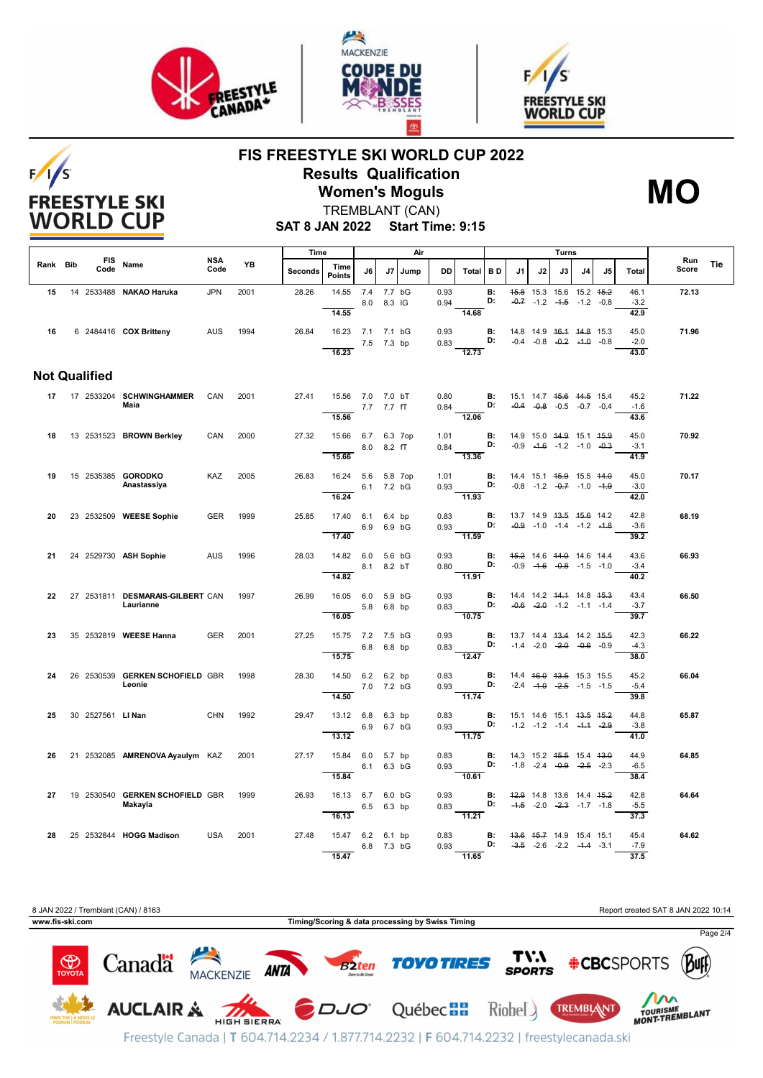

 $F/1/S$ 

**FREESTYLE SKI WORLD CUP** 

![](_page_1_Picture_1.jpeg)

![](_page_1_Picture_2.jpeg)

## **FIS FREESTYLE SKI WORLD CUP 2022 Results Qualification Women's Moguls**

![](_page_1_Picture_4.jpeg)

TREMBLANT (CAN)

**SAT 8 JAN 2022 Start Time: 9:15**

|          |                      |                                               | <b>NSA</b> | Air<br>Time |         |                                         |            |                  |      |              |                                                             | Turns            |                                                                          |                                                                           | Run |    |    |                                |       |     |
|----------|----------------------|-----------------------------------------------|------------|-------------|---------|-----------------------------------------|------------|------------------|------|--------------|-------------------------------------------------------------|------------------|--------------------------------------------------------------------------|---------------------------------------------------------------------------|-----|----|----|--------------------------------|-------|-----|
| Rank Bib | <b>FIS</b><br>Code   | Name                                          | Code       | YB          | Seconds | Time<br><b>Points</b>                   | J6         | J7               | Jump | DD           | Total BD                                                    |                  | J1                                                                       | J2                                                                        | J3  | J4 | J5 | <b>Total</b>                   | Score | Tie |
| 15       |                      | 14 2533488 NAKAO Haruka                       | <b>JPN</b> | 2001        | 28.26   | 14.55                                   | 7.4 7.7 bG | 8.0 8.3 IG       |      | 0.93<br>0.94 |                                                             | <b>B:</b><br>D:  |                                                                          | 45.8 15.3 15.6 15.2 45.2<br>$-0.7$ $-1.2$ $-4.5$ $-1.2$ $-0.8$            |     |    |    | 46.1<br>$-3.2$                 | 72.13 |     |
| 16       |                      | 6 2484416 COX Britteny                        | <b>AUS</b> | 1994        | 26.84   | 14.55<br>16.23 7.1 7.1 bG<br>16.23      |            | 7.5 7.3 bp       |      | 0.93<br>0.83 | 14.68<br>$\overline{12.73}$                                 | <b>B:</b><br>D:  |                                                                          | 14.8 14.9 46.4 44.8 15.3<br>$-0.4$ $-0.8$ $-0.2$ $-4.0$ $-0.8$            |     |    |    | 42.9<br>45.0<br>$-2.0$<br>43.0 | 71.96 |     |
|          | <b>Not Qualified</b> |                                               |            |             |         |                                         |            |                  |      |              |                                                             |                  |                                                                          |                                                                           |     |    |    |                                |       |     |
|          |                      | 17    17    2533204    SCHWINGHAMMER<br>Maia  | CAN        | 2001        | 27.41   | 15.56 7.0 7.0 bT                        |            | 7.7 7.7 fT       |      | 0.80         | <b>B:</b> 15.1 14.7 4 <del>5.6</del> 44.5 15.4<br>$0.84$ D: |                  |                                                                          | $-0.4$ $-0.8$ $-0.5$ $-0.7$ $-0.4$                                        |     |    |    | 45.2<br>$-1.6$                 | 71.22 |     |
|          |                      |                                               |            | 2000        |         | 15.56                                   |            |                  |      | 1.01         | 12.06                                                       | <b>B:</b>        | 14.9 15.0 44.9 15.1 45.9                                                 |                                                                           |     |    |    | 43.6<br>45.0                   | 70.92 |     |
| 18       |                      | 13 2531523 BROWN Berkley                      | CAN        |             | 27.32   | 15.66 6.7 6.3 7op<br>15.66              |            | 8.0 8.2 fT       |      | 0.84         | D:<br>$-13.36$                                              |                  |                                                                          | $-0.9$ $-4.6$ $-1.2$ $-1.0$ $-0.3$                                        |     |    |    | $-3.1$<br>41.9                 |       |     |
| 19       |                      | 15 2535385 GORODKO<br>Anastassiya             | KAZ        | 2005        | 26.83   | 16.24 5.6 5.8 7op<br>16.24              |            | 6.1 7.2 bG       |      | 1.01         | 0.93 D: $-0.8$ -1.2 $-0.7$ -1.0 -1.9<br>$\frac{1}{11.93}$   |                  | <b>B:</b> 14.4 15.1 <del>15.9</del> 15.5 <del>14.0</del>                 |                                                                           |     |    |    | 45.0<br>$-3.0$<br>42.0         | 70.17 |     |
| 20       |                      | 23 2532509 WEESE Sophie                       | <b>GER</b> | 1999        | 25.85   | 17.40 6.1 6.4 bp<br>17.40               | 6.9        | 6.9 bG           |      | 0.83<br>0.93 | D:<br>$\frac{1}{11.59}$                                     | <b>B:</b>        | 13.7 14.9 <del>13.5</del> <del>15.6</del> 14.2                           | $-0.9$ $-1.0$ $-1.4$ $-1.2$ $-1.8$                                        |     |    |    | 42.8<br>$-3.6$<br>39.2         | 68.19 |     |
| 21       |                      | 24 2529730 ASH Sophie                         | <b>AUS</b> | 1996        | 28.03   | 14.82 6.0 5.6 bG<br>8.1 8.2 bT<br>14.82 |            |                  |      | 0.93         | 0.80 <b>D:</b> $-0.9$ $-4.6$ $-0.8$ $-1.5$ $-1.0$<br>11.91  |                  | <b>B:</b> 45.2 14.6 44.0 14.6 14.4                                       |                                                                           |     |    |    | 43.6<br>$-3.4$<br>40.2         | 66.93 |     |
| 22       |                      | 27 2531811 DESMARAIS-GILBERT CAN<br>Laurianne |            | 1997        | 26.99   | 16.05 6.0<br>16.05                      | 5.8        | 5.9 bG<br>6.8 bp |      | 0.93<br>0.83 | D:<br>$\frac{10.75}{ }$                                     | <b>B:</b>        |                                                                          | 14.4 14.2 44.4 14.8 45.3<br>$-0.6$ $-2.0$ $-1.2$ $-1.1$ $-1.4$            |     |    |    | 43.4<br>$-3.7$<br>39.7         | 66.50 |     |
| 23       |                      | 35 2532819 WEESE Hanna                        | <b>GER</b> | 2001        | 27.25   | 15.75 7.2 7.5 bG<br>15.75               |            | 6.8 6.8 bp       |      | 0.93         | $\overline{12.47}$                                          | <b>B:</b>        |                                                                          | 13.7 14.4 13.4 14.2 15.5                                                  |     |    |    | 42.3<br>$-4.3$<br>38.0         | 66.22 |     |
| 24       |                      | 26 2530539 GERKEN SCHOFIELD GBR<br>Leonie     |            | 1998        | 28.30   | 14.50 6.2 6.2 bp<br>14.50               |            | 7.0 7.2 bG       |      | 0.83<br>0.93 | 11.74                                                       | B:<br>D:         |                                                                          | 14.4 46.0 43.5 15.3 15.5<br>$-2.4$ $-4.0$ $-2.5$ $-1.5$ $-1.5$            |     |    |    | 45.2<br>$-5.4$<br>39.8         | 66.04 |     |
| 25       | 30 2527561 LI Nan    |                                               | CHN        | 1992        | 29.47   | 13.12 6.8 6.3 bp<br>13.12               | 6.9 6.7 bG |                  |      | 0.83<br>0.93 | $-11.75$                                                    | <b>B</b> :<br>D: |                                                                          | 15.1 14.6 15.1 <del>13.5 15.2</del><br>$-1.2$ $-1.2$ $-1.4$ $-1.4$ $-2.9$ |     |    |    | 44.8<br>$-3.8$<br>41.0         | 65.87 |     |
| 26       |                      | 21 2532085 AMRENOVA Ayaulym KAZ               |            | 2001        | 27.17   | 15.84 6.0 5.7 bp<br>15.84               |            | 6.1 6.3 bG       |      | 0.83<br>0.93 | 10.61                                                       | B:<br>D:         | 14.3 15.2 <del>15.5</del> 15.4 <del>13.0</del>                           | $-1.8$ $-2.4$ $-0.9$ $-2.5$ $-2.3$                                        |     |    |    | 44.9<br>$-6.5$<br>38.4         | 64.85 |     |
| 27       |                      | 19 2530540 GERKEN SCHOFIELD GBR<br>Makayla    |            | 1999        | 26.93   | 16.13 6.7 6.0 bG<br>16.13               |            | 6.5 6.3 bp       |      | 0.93<br>0.83 | D:<br>11.21                                                 |                  | <b>B:</b> 42.9 14.8 13.6 14.4 45.2                                       | $-4.5$ $-2.0$ $-2.3$ $-1.7$ $-1.8$                                        |     |    |    | 42.8<br>$-5.5$<br>37.3         | 64.64 |     |
| 28       |                      | 25 2532844 HOGG Madison                       | <b>USA</b> | 2001        | 27.48   | 15.47 6.2 6.1 bp<br>15.47               |            | 6.8 7.3 bG       |      | 0.83<br>0.93 | 11.65                                                       | D:               | <b>B:</b> 43.6 45.7 14.9 15.4 15.1<br>$-3.5$ $-2.6$ $-2.2$ $-4.4$ $-3.1$ |                                                                           |     |    |    | 45.4<br>$-7.9$<br>37.5         | 64.62 |     |

![](_page_1_Picture_8.jpeg)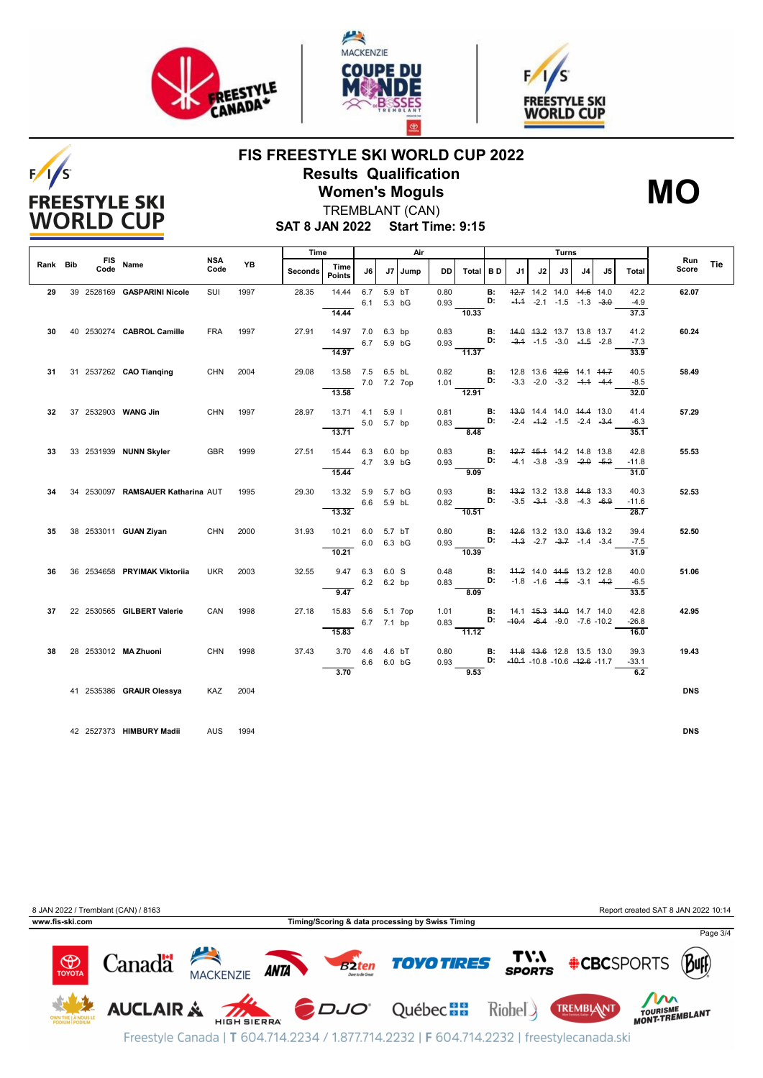![](_page_2_Picture_0.jpeg)

 $F/I/S$ 

**FREESTYLE SKI WORLD CUP** 

![](_page_2_Picture_1.jpeg)

![](_page_2_Picture_2.jpeg)

## **FIS FREESTYLE SKI WORLD CUP 2022 Results Qualification Women's Moguls**

![](_page_2_Picture_4.jpeg)

TREMBLANT (CAN)

**SAT 8 JAN 2022 Start Time: 9:15**

|          |      |                                   |                    |           | Time           |                       | Air         |                        |         |              | Turns    |                 |                                         |    |    |                                                                                      |    |                         |              |     |
|----------|------|-----------------------------------|--------------------|-----------|----------------|-----------------------|-------------|------------------------|---------|--------------|----------|-----------------|-----------------------------------------|----|----|--------------------------------------------------------------------------------------|----|-------------------------|--------------|-----|
| Rank Bib | Code | FIS Name                          | <b>NSA</b><br>Code | <b>YB</b> | <b>Seconds</b> | Time<br><b>Points</b> | J6          |                        | J7 Jump | DD           | Total BD |                 | J1                                      | J2 | J3 | J <sub>4</sub>                                                                       | J5 | Total                   | Run<br>Score | Tie |
| 29       |      | 39 2528169 GASPARINI Nicole       | SUI                | 1997      | 28.35          | 14.44                 | 6.7<br>6.1  | 5.9 bT<br>5.3 bG       |         | 0.80<br>0.93 |          | <b>B:</b><br>D: |                                         |    |    | 42.7 14.2 14.0 44.6 14.0<br>$-4.4$ $-2.1$ $-1.5$ $-1.3$ $-3.0$                       |    | 42.2<br>$-4.9$          | 62.07        |     |
| 30       |      | 40 2530274 CABROL Camille         | <b>FRA</b>         | 1997      | 27.91          | 14.44<br>14.97 7.0    |             | 6.3 bp                 |         | 0.83         | 10.33    | <b>B:</b>       |                                         |    |    | 44.0 43.2 13.7 13.8 13.7                                                             |    | 37.3<br>41.2            | 60.24        |     |
|          |      |                                   |                    |           |                | 14.97                 | 6.7         | 5.9 bG                 |         | 0.93         | 11.37    | D:              |                                         |    |    | $-3.4$ $-1.5$ $-3.0$ $-4.5$ $-2.8$                                                   |    | $-7.3$<br>33.9          |              |     |
| 31       |      | 31 2537262 CAO Tianging           | <b>CHN</b>         | 2004      | 29.08          | 13.58 7.5<br>13.58    |             | 6.5 bL<br>7.0 7.2 7op  |         | 0.82<br>1.01 | 12.91    | <b>B:</b><br>D: |                                         |    |    | 12.8 13.6 <del>12.6</del> 14.1 <del>14.7</del><br>$-3.3$ $-2.0$ $-3.2$ $-4.4$ $-4.4$ |    | 40.5<br>$-8.5$<br>32.0  | 58.49        |     |
| 32       |      | 37 2532903 WANG Jin               | <b>CHN</b>         | 1997      | 28.97          | 13.71                 | 4.1         | 5.9 <sub>1</sub>       |         | 0.81         |          | <b>B:</b><br>D: |                                         |    |    | 43.0 14.4 14.0 44.4 13.0                                                             |    | 41.4                    | 57.29        |     |
|          |      |                                   |                    |           |                | 13.71                 |             | 5.0 5.7 bp             |         | 0.83         | 8.48     |                 |                                         |    |    | $-2.4$ $-4.2$ $-1.5$ $-2.4$ $-3.4$                                                   |    | $-6.3$<br>35.1          |              |     |
| 33       |      | 33 2531939 NUNN Skyler            | <b>GBR</b>         | 1999      | 27.51          | 15.44<br>15.44        | 6.3         | $6.0$ bp<br>4.7 3.9 bG |         | 0.83<br>0.93 | 9.09     | <b>B:</b><br>D: |                                         |    |    | 42.7 45.4 14.2 14.8 13.8<br>$-4.1$ $-3.8$ $-3.9$ $-2.0$ $-5.2$                       |    | 42.8<br>$-11.8$<br>31.0 | 55.53        |     |
| 34       |      | 34 2530097 RAMSAUER Katharina AUT |                    | 1995      | 29.30          | 13.32                 | 5.9         | 5.7 bG<br>6.6 5.9 bL   |         | 0.93<br>0.82 |          | <b>B:</b><br>D: |                                         |    |    | 43.2 13.2 13.8 44.8 13.3<br>$-3.5$ $-3.4$ $-3.8$ $-4.3$ $-6.9$                       |    | 40.3<br>$-11.6$         | 52.53        |     |
| 35       |      | 38 2533011 GUAN Ziyan             | <b>CHN</b>         | 2000      | 31.93          | 13.32<br>10.21        | 6.0         | 5.7 bT                 |         | 0.80         | 10.51    | <b>B:</b>       |                                         |    |    | 42.6 13.2 13.0 43.6 13.2                                                             |    | 28.7<br>39.4            | 52.50        |     |
|          |      |                                   |                    |           |                | 10.21                 |             | 6.0 6.3 bG             |         | 0.93         | 10.39    | D:              |                                         |    |    | $-4.3$ $-2.7$ $-3.7$ $-1.4$ $-3.4$                                                   |    | $-7.5$<br>31.9          |              |     |
| 36       |      | 36 2534658 PRYIMAK Viktoriia      | <b>UKR</b>         | 2003      | 32.55          | 9.47                  | 6.3         | 6.0 S<br>6.2 6.2 bp    |         | 0.48<br>0.83 |          | <b>B:</b><br>D: |                                         |    |    | 44.2 14.0 44.5 13.2 12.8<br>$-1.8$ $-1.6$ $-4.5$ $-3.1$ $-4.2$                       |    | 40.0<br>$-6.5$          | 51.06        |     |
| 37       |      | 22 2530565 GILBERT Valerie        | CAN                | 1998      | 27.18          | 9.47<br>15.83         | 5.6 5.1 7op |                        |         | 1.01         | 8.09     | <b>B:</b>       |                                         |    |    | 14.1 45.3 44.0 14.7 14.0                                                             |    | 33.5<br>42.8            | 42.95        |     |
|          |      |                                   |                    |           |                | 15.83                 |             | 6.7 7.1 bp             |         | 0.83         | 11.12    |                 | D: $-40.4$ $-6.4$ $-9.0$ $-7.6$ $-10.2$ |    |    |                                                                                      |    | $-26.8$<br>16.0         |              |     |
| 38       |      | 28 2533012 MA Zhuoni              | <b>CHN</b>         | 1998      | 37.43          | 3.70<br>3.70          | 4.6         | 4.6 bT<br>6.6 6.0 bG   |         | 0.80<br>0.93 | 9.53     | <b>B:</b>       | D: $-40.4 - 10.8 - 10.6 - 42.6 - 11.7$  |    |    | 44.8 43.6 12.8 13.5 13.0                                                             |    | 39.3<br>$-33.1$<br>6.2  | 19.43        |     |
|          |      | 41 2535386 GRAUR Olessya          | KAZ                | 2004      |                |                       |             |                        |         |              |          |                 |                                         |    |    |                                                                                      |    |                         | <b>DNS</b>   |     |
|          |      |                                   |                    |           |                |                       |             |                        |         |              |          |                 |                                         |    |    |                                                                                      |    |                         |              |     |
|          |      | 42 2527373 HIMBURY Madii          | <b>AUS</b>         | 1994      |                |                       |             |                        |         |              |          |                 |                                         |    |    |                                                                                      |    |                         | <b>DNS</b>   |     |

![](_page_2_Picture_8.jpeg)